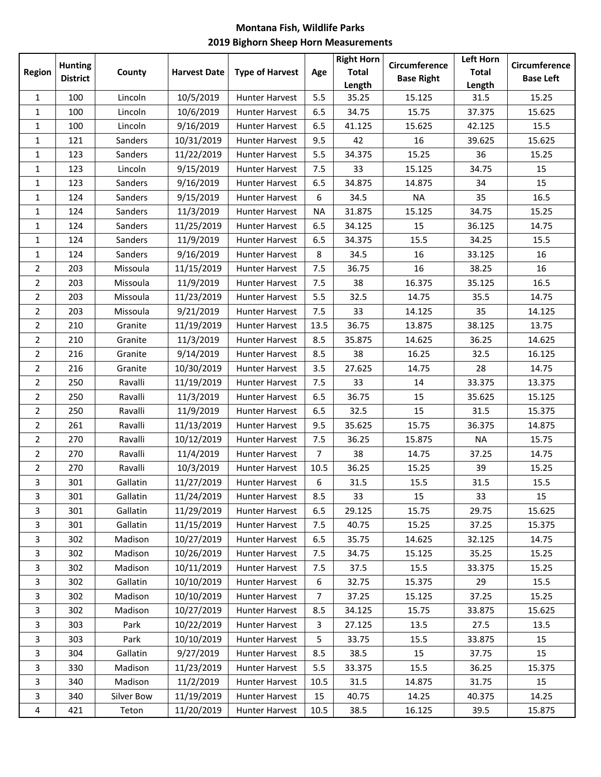## **Montana Fish, Wildlife Parks 2019 Bighorn Sheep Horn Measurements**

|                | <b>Hunting</b>  |            |                     |                        |                | <b>Right Horn</b>      | Circumference     | Left Horn              | Circumference    |
|----------------|-----------------|------------|---------------------|------------------------|----------------|------------------------|-------------------|------------------------|------------------|
| <b>Region</b>  | <b>District</b> | County     | <b>Harvest Date</b> | <b>Type of Harvest</b> | Age            | <b>Total</b><br>Length | <b>Base Right</b> | <b>Total</b><br>Length | <b>Base Left</b> |
| $\mathbf{1}$   | 100             | Lincoln    | 10/5/2019           | <b>Hunter Harvest</b>  | 5.5            | 35.25                  | 15.125            | 31.5                   | 15.25            |
| 1              | 100             | Lincoln    | 10/6/2019           | Hunter Harvest         | 6.5            | 34.75                  | 15.75             | 37.375                 | 15.625           |
| 1              | 100             | Lincoln    | 9/16/2019           | Hunter Harvest         | 6.5            | 41.125                 | 15.625            | 42.125                 | 15.5             |
| 1              | 121             | Sanders    | 10/31/2019          | Hunter Harvest         | 9.5            | 42                     | 16                | 39.625                 | 15.625           |
| 1              | 123             | Sanders    | 11/22/2019          | <b>Hunter Harvest</b>  | 5.5            | 34.375                 | 15.25             | 36                     | 15.25            |
| 1              | 123             | Lincoln    | 9/15/2019           | Hunter Harvest         | 7.5            | 33                     | 15.125            | 34.75                  | 15               |
| 1              | 123             | Sanders    | 9/16/2019           | Hunter Harvest         | 6.5            | 34.875                 | 14.875            | 34                     | 15               |
| $\mathbf{1}$   | 124             | Sanders    | 9/15/2019           | Hunter Harvest         | 6              | 34.5                   | <b>NA</b>         | 35                     | 16.5             |
| 1              | 124             | Sanders    | 11/3/2019           | Hunter Harvest         | <b>NA</b>      | 31.875                 | 15.125            | 34.75                  | 15.25            |
| 1              | 124             | Sanders    | 11/25/2019          | Hunter Harvest         | 6.5            | 34.125                 | 15                | 36.125                 | 14.75            |
| 1              | 124             | Sanders    | 11/9/2019           | Hunter Harvest         | 6.5            | 34.375                 | 15.5              | 34.25                  | 15.5             |
| 1              | 124             | Sanders    | 9/16/2019           | <b>Hunter Harvest</b>  | 8              | 34.5                   | 16                | 33.125                 | 16               |
| $\overline{2}$ | 203             | Missoula   | 11/15/2019          | Hunter Harvest         | 7.5            | 36.75                  | 16                | 38.25                  | 16               |
| $\overline{2}$ | 203             | Missoula   | 11/9/2019           | Hunter Harvest         | 7.5            | 38                     | 16.375            | 35.125                 | 16.5             |
| $\overline{2}$ | 203             | Missoula   | 11/23/2019          | Hunter Harvest         | 5.5            | 32.5                   | 14.75             | 35.5                   | 14.75            |
| $\overline{2}$ | 203             | Missoula   | 9/21/2019           | Hunter Harvest         | 7.5            | 33                     | 14.125            | 35                     | 14.125           |
| $\overline{2}$ | 210             | Granite    | 11/19/2019          | Hunter Harvest         | 13.5           | 36.75                  | 13.875            | 38.125                 | 13.75            |
| $\overline{2}$ | 210             | Granite    | 11/3/2019           | Hunter Harvest         | 8.5            | 35.875                 | 14.625            | 36.25                  | 14.625           |
| $\overline{2}$ | 216             | Granite    | 9/14/2019           | Hunter Harvest         | 8.5            | 38                     | 16.25             | 32.5                   | 16.125           |
| $\overline{2}$ | 216             | Granite    | 10/30/2019          | Hunter Harvest         | 3.5            | 27.625                 | 14.75             | 28                     | 14.75            |
| $\overline{2}$ | 250             | Ravalli    | 11/19/2019          | Hunter Harvest         | 7.5            | 33                     | 14                | 33.375                 | 13.375           |
| $\overline{2}$ | 250             | Ravalli    | 11/3/2019           | Hunter Harvest         | 6.5            | 36.75                  | 15                | 35.625                 | 15.125           |
| $\overline{2}$ | 250             | Ravalli    | 11/9/2019           | Hunter Harvest         | 6.5            | 32.5                   | 15                | 31.5                   | 15.375           |
| 2              | 261             | Ravalli    | 11/13/2019          | Hunter Harvest         | 9.5            | 35.625                 | 15.75             | 36.375                 | 14.875           |
| $\overline{2}$ | 270             | Ravalli    | 10/12/2019          | <b>Hunter Harvest</b>  | 7.5            | 36.25                  | 15.875            | <b>NA</b>              | 15.75            |
| $\overline{2}$ | 270             | Ravalli    | 11/4/2019           | Hunter Harvest         | $\overline{7}$ | 38                     | 14.75             | 37.25                  | 14.75            |
| 2              | 270             | Ravalli    | 10/3/2019           | <b>Hunter Harvest</b>  | 10.5           | 36.25                  | 15.25             | 39                     | 15.25            |
| 3              | 301             | Gallatin   | 11/27/2019          | <b>Hunter Harvest</b>  | 6              | 31.5                   | 15.5              | 31.5                   | 15.5             |
| 3              | 301             | Gallatin   | 11/24/2019          | Hunter Harvest         | 8.5            | 33                     | 15                | 33                     | 15               |
| 3              | 301             | Gallatin   | 11/29/2019          | <b>Hunter Harvest</b>  | 6.5            | 29.125                 | 15.75             | 29.75                  | 15.625           |
| 3              | 301             | Gallatin   | 11/15/2019          | Hunter Harvest         | 7.5            | 40.75                  | 15.25             | 37.25                  | 15.375           |
| 3              | 302             | Madison    | 10/27/2019          | <b>Hunter Harvest</b>  | 6.5            | 35.75                  | 14.625            | 32.125                 | 14.75            |
| 3              | 302             | Madison    | 10/26/2019          | Hunter Harvest         | 7.5            | 34.75                  | 15.125            | 35.25                  | 15.25            |
| $\mathbf{3}$   | 302             | Madison    | 10/11/2019          | <b>Hunter Harvest</b>  | 7.5            | 37.5                   | 15.5              | 33.375                 | 15.25            |
| 3              | 302             | Gallatin   | 10/10/2019          | Hunter Harvest         | 6              | 32.75                  | 15.375            | 29                     | 15.5             |
| 3              | 302             | Madison    | 10/10/2019          | <b>Hunter Harvest</b>  | 7              | 37.25                  | 15.125            | 37.25                  | 15.25            |
| 3              | 302             | Madison    | 10/27/2019          | Hunter Harvest         | 8.5            | 34.125                 | 15.75             | 33.875                 | 15.625           |
| 3              | 303             | Park       | 10/22/2019          | Hunter Harvest         | 3              | 27.125                 | 13.5              | 27.5                   | 13.5             |
| 3              | 303             | Park       | 10/10/2019          | <b>Hunter Harvest</b>  | 5              | 33.75                  | 15.5              | 33.875                 | 15               |
| 3              | 304             | Gallatin   | 9/27/2019           | <b>Hunter Harvest</b>  | 8.5            | 38.5                   | 15                | 37.75                  | 15               |
| $\mathbf{3}$   | 330             | Madison    | 11/23/2019          | Hunter Harvest         | 5.5            | 33.375                 | 15.5              | 36.25                  | 15.375           |
| 3              | 340             | Madison    | 11/2/2019           | Hunter Harvest         | 10.5           | 31.5                   | 14.875            | 31.75                  | 15               |
| 3              | 340             | Silver Bow | 11/19/2019          | <b>Hunter Harvest</b>  | 15             | 40.75                  | 14.25             | 40.375                 | 14.25            |
| 4              | 421             | Teton      | 11/20/2019          | <b>Hunter Harvest</b>  | 10.5           | 38.5                   | 16.125            | 39.5                   | 15.875           |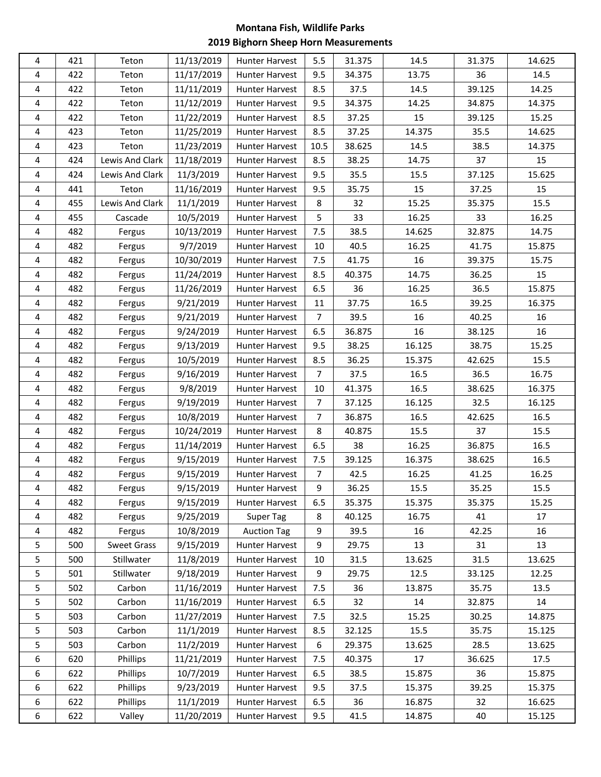## **Montana Fish, Wildlife Parks 2019 Bighorn Sheep Horn Measurements**

| 4 | 421 | Teton              | 11/13/2019 | <b>Hunter Harvest</b> | 5.5            | 31.375 | 14.5   | 31.375 | 14.625 |
|---|-----|--------------------|------------|-----------------------|----------------|--------|--------|--------|--------|
| 4 | 422 | Teton              | 11/17/2019 | <b>Hunter Harvest</b> | 9.5            | 34.375 | 13.75  | 36     | 14.5   |
| 4 | 422 | Teton              | 11/11/2019 | <b>Hunter Harvest</b> | 8.5            | 37.5   | 14.5   | 39.125 | 14.25  |
| 4 | 422 | Teton              | 11/12/2019 | <b>Hunter Harvest</b> | 9.5            | 34.375 | 14.25  | 34.875 | 14.375 |
| 4 | 422 | Teton              | 11/22/2019 | Hunter Harvest        | 8.5            | 37.25  | 15     | 39.125 | 15.25  |
| 4 | 423 | Teton              | 11/25/2019 | <b>Hunter Harvest</b> | 8.5            | 37.25  | 14.375 | 35.5   | 14.625 |
| 4 | 423 | Teton              | 11/23/2019 | <b>Hunter Harvest</b> | 10.5           | 38.625 | 14.5   | 38.5   | 14.375 |
| 4 | 424 | Lewis And Clark    | 11/18/2019 | <b>Hunter Harvest</b> | 8.5            | 38.25  | 14.75  | 37     | 15     |
| 4 | 424 | Lewis And Clark    | 11/3/2019  | <b>Hunter Harvest</b> | 9.5            | 35.5   | 15.5   | 37.125 | 15.625 |
| 4 | 441 | Teton              | 11/16/2019 | <b>Hunter Harvest</b> | 9.5            | 35.75  | 15     | 37.25  | 15     |
| 4 | 455 | Lewis And Clark    | 11/1/2019  | <b>Hunter Harvest</b> | 8              | 32     | 15.25  | 35.375 | 15.5   |
| 4 | 455 | Cascade            | 10/5/2019  | <b>Hunter Harvest</b> | 5              | 33     | 16.25  | 33     | 16.25  |
| 4 | 482 | Fergus             | 10/13/2019 | <b>Hunter Harvest</b> | 7.5            | 38.5   | 14.625 | 32.875 | 14.75  |
| 4 | 482 | Fergus             | 9/7/2019   | <b>Hunter Harvest</b> | 10             | 40.5   | 16.25  | 41.75  | 15.875 |
| 4 | 482 | Fergus             | 10/30/2019 | <b>Hunter Harvest</b> | 7.5            | 41.75  | 16     | 39.375 | 15.75  |
| 4 | 482 | Fergus             | 11/24/2019 | <b>Hunter Harvest</b> | 8.5            | 40.375 | 14.75  | 36.25  | 15     |
| 4 | 482 | Fergus             | 11/26/2019 | Hunter Harvest        | 6.5            | 36     | 16.25  | 36.5   | 15.875 |
| 4 | 482 | Fergus             | 9/21/2019  | <b>Hunter Harvest</b> | 11             | 37.75  | 16.5   | 39.25  | 16.375 |
| 4 | 482 | Fergus             | 9/21/2019  | <b>Hunter Harvest</b> | $\overline{7}$ | 39.5   | 16     | 40.25  | 16     |
| 4 | 482 | Fergus             | 9/24/2019  | <b>Hunter Harvest</b> | 6.5            | 36.875 | 16     | 38.125 | 16     |
| 4 | 482 | Fergus             | 9/13/2019  | <b>Hunter Harvest</b> | 9.5            | 38.25  | 16.125 | 38.75  | 15.25  |
| 4 | 482 | Fergus             | 10/5/2019  | <b>Hunter Harvest</b> | 8.5            | 36.25  | 15.375 | 42.625 | 15.5   |
| 4 | 482 | Fergus             | 9/16/2019  | Hunter Harvest        | $\overline{7}$ | 37.5   | 16.5   | 36.5   | 16.75  |
| 4 | 482 | Fergus             | 9/8/2019   | Hunter Harvest        | 10             | 41.375 | 16.5   | 38.625 | 16.375 |
| 4 | 482 | Fergus             | 9/19/2019  | <b>Hunter Harvest</b> | $\overline{7}$ | 37.125 | 16.125 | 32.5   | 16.125 |
| 4 | 482 | Fergus             | 10/8/2019  | <b>Hunter Harvest</b> | 7              | 36.875 | 16.5   | 42.625 | 16.5   |
| 4 | 482 | Fergus             | 10/24/2019 | <b>Hunter Harvest</b> | 8              | 40.875 | 15.5   | 37     | 15.5   |
| 4 | 482 | Fergus             | 11/14/2019 | <b>Hunter Harvest</b> | 6.5            | 38     | 16.25  | 36.875 | 16.5   |
| 4 | 482 | Fergus             | 9/15/2019  | Hunter Harvest        | 7.5            | 39.125 | 16.375 | 38.625 | 16.5   |
| 4 | 482 | Fergus             | 9/15/2019  | <b>Hunter Harvest</b> | $\overline{7}$ | 42.5   | 16.25  | 41.25  | 16.25  |
| 4 | 482 | Fergus             | 9/15/2019  | <b>Hunter Harvest</b> | 9              | 36.25  | 15.5   | 35.25  | 15.5   |
| 4 | 482 | Fergus             | 9/15/2019  | <b>Hunter Harvest</b> | 6.5            | 35.375 | 15.375 | 35.375 | 15.25  |
| 4 | 482 | Fergus             | 9/25/2019  | Super Tag             | 8              | 40.125 | 16.75  | 41     | 17     |
| 4 | 482 | Fergus             | 10/8/2019  | <b>Auction Tag</b>    | 9              | 39.5   | 16     | 42.25  | 16     |
| 5 | 500 | <b>Sweet Grass</b> | 9/15/2019  | <b>Hunter Harvest</b> | 9              | 29.75  | 13     | 31     | 13     |
| 5 | 500 | Stillwater         | 11/8/2019  | <b>Hunter Harvest</b> | 10             | 31.5   | 13.625 | 31.5   | 13.625 |
| 5 | 501 | Stillwater         | 9/18/2019  | Hunter Harvest        | 9              | 29.75  | 12.5   | 33.125 | 12.25  |
| 5 | 502 | Carbon             | 11/16/2019 | <b>Hunter Harvest</b> | 7.5            | 36     | 13.875 | 35.75  | 13.5   |
| 5 | 502 | Carbon             | 11/16/2019 | <b>Hunter Harvest</b> | 6.5            | 32     | 14     | 32.875 | 14     |
| 5 | 503 | Carbon             | 11/27/2019 | <b>Hunter Harvest</b> | 7.5            | 32.5   | 15.25  | 30.25  | 14.875 |
| 5 | 503 | Carbon             | 11/1/2019  | <b>Hunter Harvest</b> | 8.5            | 32.125 | 15.5   | 35.75  | 15.125 |
| 5 | 503 | Carbon             | 11/2/2019  | <b>Hunter Harvest</b> | 6              | 29.375 | 13.625 | 28.5   | 13.625 |
| 6 | 620 | Phillips           | 11/21/2019 | <b>Hunter Harvest</b> | 7.5            | 40.375 | 17     | 36.625 | 17.5   |
| 6 | 622 | Phillips           | 10/7/2019  | <b>Hunter Harvest</b> | 6.5            | 38.5   | 15.875 | 36     | 15.875 |
| 6 | 622 | Phillips           | 9/23/2019  | <b>Hunter Harvest</b> | 9.5            | 37.5   | 15.375 | 39.25  | 15.375 |
| 6 | 622 | Phillips           | 11/1/2019  | <b>Hunter Harvest</b> | 6.5            | 36     | 16.875 | 32     | 16.625 |
| 6 | 622 | Valley             | 11/20/2019 | <b>Hunter Harvest</b> | 9.5            | 41.5   | 14.875 | 40     | 15.125 |